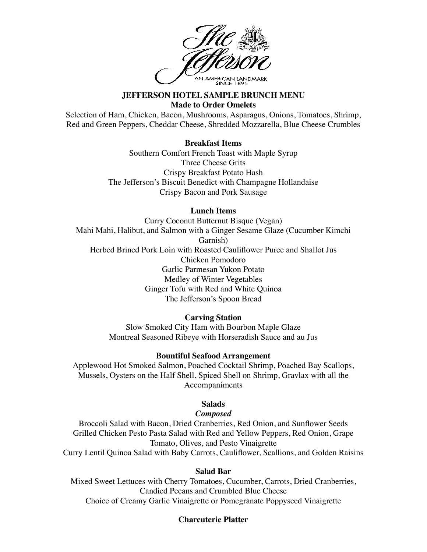

#### **JEFFERSON HOTEL SAMPLE BRUNCH MENU Made to Order Omelets**

Selection of Ham, Chicken, Bacon, Mushrooms, Asparagus, Onions, Tomatoes, Shrimp, Red and Green Peppers, Cheddar Cheese, Shredded Mozzarella, Blue Cheese Crumbles

#### **Breakfast Items**

Southern Comfort French Toast with Maple Syrup Three Cheese Grits Crispy Breakfast Potato Hash The Jefferson's Biscuit Benedict with Champagne Hollandaise Crispy Bacon and Pork Sausage

# **Lunch Items**

Curry Coconut Butternut Bisque (Vegan) Mahi Mahi, Halibut, and Salmon with a Ginger Sesame Glaze (Cucumber Kimchi Garnish) Herbed Brined Pork Loin with Roasted Cauliflower Puree and Shallot Jus Chicken Pomodoro Garlic Parmesan Yukon Potato Medley of Winter Vegetables Ginger Tofu with Red and White Quinoa The Jefferson's Spoon Bread

## **Carving Station**

Slow Smoked City Ham with Bourbon Maple Glaze Montreal Seasoned Ribeye with Horseradish Sauce and au Jus

## **Bountiful Seafood Arrangement**

Applewood Hot Smoked Salmon, Poached Cocktail Shrimp, Poached Bay Scallops, Mussels, Oysters on the Half Shell, Spiced Shell on Shrimp, Gravlax with all the Accompaniments

## **Salads**

# *Composed*

Broccoli Salad with Bacon, Dried Cranberries, Red Onion, and Sunflower Seeds Grilled Chicken Pesto Pasta Salad with Red and Yellow Peppers, Red Onion, Grape Tomato, Olives, and Pesto Vinaigrette Curry Lentil Quinoa Salad with Baby Carrots, Cauliflower, Scallions, and Golden Raisins

#### **Salad Bar**

Mixed Sweet Lettuces with Cherry Tomatoes, Cucumber, Carrots, Dried Cranberries, Candied Pecans and Crumbled Blue Cheese Choice of Creamy Garlic Vinaigrette or Pomegranate Poppyseed Vinaigrette

# **Charcuterie Platter**